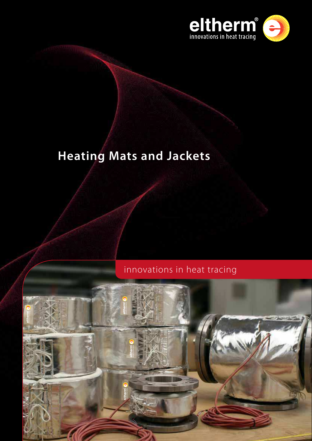

# **Heating Mats and Jackets**

# innovations in heat tracing

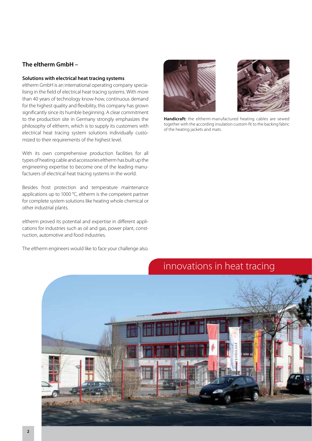#### **The eltherm GmbH –**

#### **Solutions with electrical heat tracing systems**

eltherm GmbH is an international operating company specialising in the field of electrical heat tracing systems. With more than 40 years of technology know-how, continuous demand for the highest quality and flexibility, this company has grown significantly since its humble beginning. A clear commitment to the production site in Germany strongly emphasizes the philosophy of eltherm, which is to supply its customers with electrical heat tracing system solutions individually customized to their requirements of the highest level.

With its own comprehensive production facilities for all types of heating cable and accessories eltherm has built up the engineering expertise to become one of the leading manufacturers of electrical heat tracing systems in the world.

Besides frost protection and temperature maintenance applications up to 1000 °C, eltherm is the competent partner for complete system solutions like heating whole chemical or other industrial plants.

eltherm proved its potential and expertise in different applications for industries such as oil and gas, power plant, construction, automotive and food industries.

The eltherm engineers would like to face your challenge also.





**Handicraft:** the eltherm-manufactured heating cables are sewed together with the according insulation custom-fit to the backing fabric of the heating jackets and mats.

# innovations in heat tracing

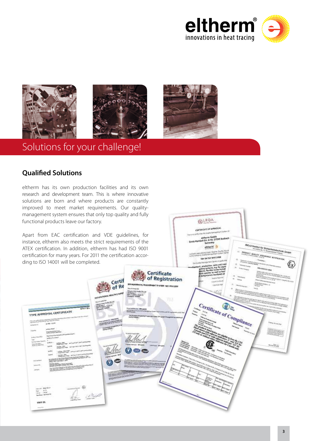



# Solutions for your challenge!

### **Qualified Solutions**

eltherm has its own production facilities and its own research and development team. This is where innovative solutions are born and where products are constantly improved to meet market requirements. Our qualitymanagement system ensures that only top quality and fully functional products leave our factory.

Apart from EAC certification and VDE guidelines, for instance, eltherm also meets the strict requirements of the ATEX certification. In addition, eltherm has had ISO 9001 certification for many years. For 2011 the certification according to ISO 14001 will be completed.



**RIROA** CERTIFICATE OF A

therm GmbH<br>-Str. 6-10, 57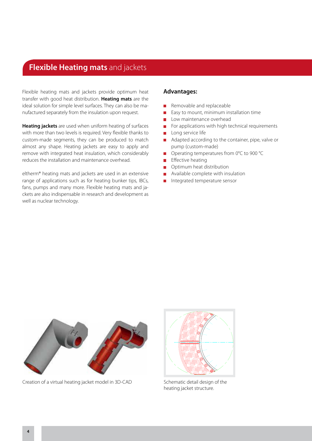## **Flexible Heating mats** and jackets

Flexible heating mats and jackets provide optimum heat transfer with good heat distribution. **Heating mats** are the ideal solution for simple level surfaces. They can also be manufactured separately from the insulation upon request.

**Heating jackets** are used when uniform heating of surfaces with more than two levels is required. Very flexible thanks to custom-made segments, they can be produced to match almost any shape. Heating jackets are easy to apply and remove with integrated heat insulation, which considerably reduces the installation and maintenance overhead.

eltherm® heating mats and jackets are used in an extensive range of applications such as for heating bunker tips, IBCs, fans, pumps and many more. Flexible heating mats and jackets are also indispensable in research and development as well as nuclear technology.

#### **Advantages:**

- Removable and replaceable
- Easy to mount, minimum installation time
- **Low maintenance overhead**
- $\blacksquare$  For applications with high technical requirements
- **Long service life**
- Adapted according to the container, pipe, valve or pump (custom-made)
- Operating temperatures from 0°C to 900 °C
- $E$  Effective heating
- **Optimum heat distribution**
- **Available complete with insulation**
- Integrated temperature sensor



Creation of a virtual heating jacket model in 3D-CAD Schematic detail design of the



heating jacket structure.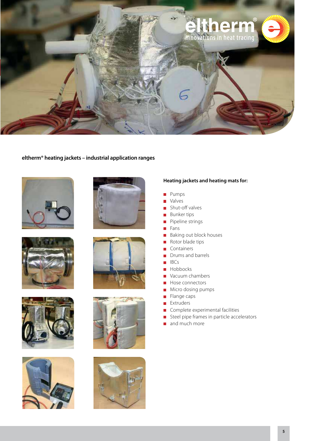

#### **eltherm® heating jackets – industrial application ranges**















#### **Heating jackets and heating mats for:**

- Pumps
- **Nalves**
- **Shut-off valves**
- **Bunker tips**
- **Pipeline strings**
- **Fans**
- **Baking out block houses**
- Rotor blade tips
- **Containers**
- Drums and barrels
- $IBCs$
- Hobbocks
- Vacuum chambers
- Hose connectors
- **Micro dosing pumps**
- $\blacksquare$  Flange caps
- **Extruders**
- **Complete experimental facilities**
- Steel pipe frames in particle accelerators
- and much more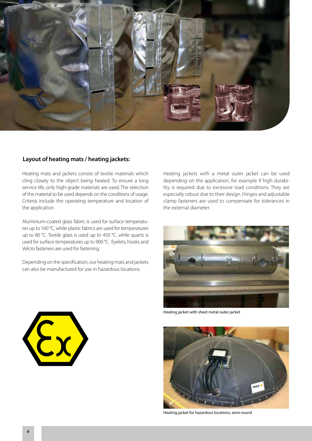

#### **Layout of heating mats / heating jackets:**

Heating mats and jackets consist of textile materials which cling closely to the object being heated. To ensure a long service life, only high-grade materials are used. The selection of the material to be used depends on the conditions of usage. Criteria include the operating temperature and location of the application.

Aluminium-coated glass fabric is used for surface temperatures up to 160 °C, while plastic fabrics are used for temperatures up to 80 °C. Textile glass is used up to 450 °C, while quartz is used for surface temperatures up to 900 °C. Eyelets, hooks and Velcro fasteners are used for fastening.

Depending on the specification, our heating mats and jackets can also be manufactured for use in hazardous locations.

Heating jackets with a metal outer jacket can be used depending on the application, for example if high durability is required due to excessive load conditions. They are especially robust due to their design. Hinges and adjustable clamp fasteners are used to compensate for tolerances in the external diameter.



Heating jacket with sheet metal outer jacket



Heating jacket for hazardous locations, semi-round

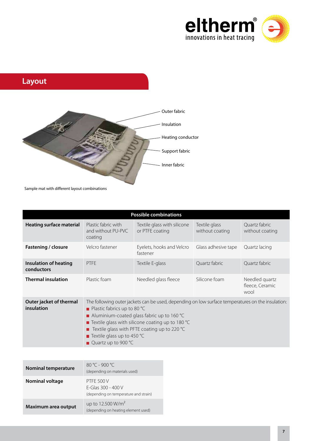





Sample mat with different layout combinations

| <b>Possible combinations</b>               |                                                                                                                                                                                                                                                                                                                                                  |                                                |                                  |                                           |  |
|--------------------------------------------|--------------------------------------------------------------------------------------------------------------------------------------------------------------------------------------------------------------------------------------------------------------------------------------------------------------------------------------------------|------------------------------------------------|----------------------------------|-------------------------------------------|--|
| <b>Heating surface material</b>            | Plastic fabric with<br>and without PU-PVC<br>coating                                                                                                                                                                                                                                                                                             | Textile glass with silicone<br>or PTFE coating | Textile glass<br>without coating | Quartz fabric<br>without coating          |  |
| Fastening / closure                        | Velcro fastener                                                                                                                                                                                                                                                                                                                                  | Eyelets, hooks and Velcro<br>fastener          | Glass adhesive tape              | Quartz lacing                             |  |
| <b>Insulation of heating</b><br>conductors | <b>PTFE</b>                                                                                                                                                                                                                                                                                                                                      | Textile E-glass                                | Quartz fabric                    | Quartz fabric                             |  |
| <b>Thermal insulation</b>                  | Plastic foam                                                                                                                                                                                                                                                                                                                                     | Needled glass fleece                           | Silicone foam                    | Needled quartz<br>fleece, Ceramic<br>wool |  |
| Outer jacket of thermal<br>insulation      | The following outer jackets can be used, depending on low surface temperatures on the insulation:<br>■ Plastic fabrics up to 80 °C<br>Aluminium-coated glass fabric up to 160 °C<br>■ Textile glass with silicone coating up to 180 °C<br><b>E</b> Textile glass with PFTE coating up to 220 $^{\circ}$ C<br><b>T</b> Textile glass up to 450 °C |                                                |                                  |                                           |  |

| <b>Nominal temperature</b> | $80 °C - 900 °C$<br>(depending on materials used)                                |  |
|----------------------------|----------------------------------------------------------------------------------|--|
| <b>Nominal voltage</b>     | <b>PTFE 500 V</b><br>E-Glas 300 - 400 V<br>(depending on temperature and strain) |  |
| Maximum area output        | up to 12.500 W/m <sup>2</sup><br>(depending on heating element used)             |  |

Quartz up to 900 °C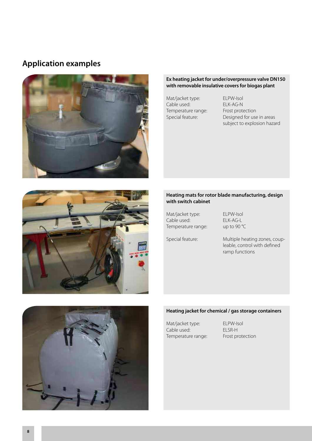### **Application examples**



#### **Ex heating jacket for under/overpressure valve DN150 with removable insulative covers for biogas plant**

Mat/jacket type: ELPW-Isol Cable used: ELK-AG-N Temperature range: Frost protection

Special feature: Designed for use in areas subject to explosion hazard





| Mat/jacket type:   |  |
|--------------------|--|
| Cable used:        |  |
| Temperature range: |  |

ELPW-Isol ELK-AG-L up to 90 °C

Special feature: Multiple heating zones, coup leable, control with defined ramp functions

#### **Heating jacket for chemical / gas storage containers**

Mat/jacket type: ELPW-Isol<br>Cable used: ELSR-H Cable used: Temperature range: Frost protection

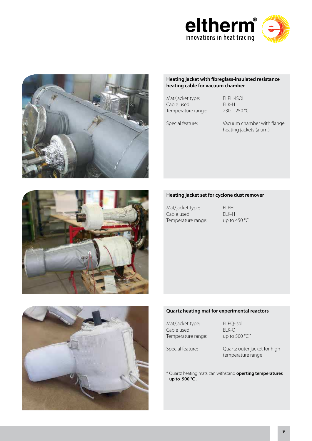



#### **Heating jacket with fibreglass-insulated resistance heating cable for vacuum chamber**

Mat/jacket type: ELPH-ISOL Cable used: ELK-H Temperature range: 230 – 250 °C

Special feature: Vacuum chamber with flange heating jackets (alum.)

#### **Heating jacket set for cyclone dust remover**

Mat/jacket type: ELPH Cable used: ELK-H Temperature range: up to 450 °C



#### **Quartz heating mat for experimental reactors**

Mat/jacket type: ELPQ-Isol Cable used:  $ELK-Q$ <br>Temperature range:  $up to 500 °C$ <sup>\*</sup> Temperature range:

Special feature: Quartz outer jacket for high temperature range

\* Quartz heating mats can withstand **operting temperatures up to 900 °C** .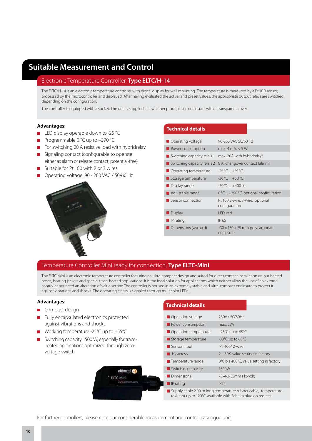### **Suitable Measurement and Control**

#### Electronic Temperature Controller, **Type ELTC/H-14**

The ELTC/H-14 is an electronic temperature controller with digital display for wall mounting. The temperature is measured by a Pt 100 sensor, processed by the microcontroller and displayed. After having evaluated the actual and preset values, the appropriate output relays are switched, depending on the configuration.

The controller is equipped with a socket. The unit is supplied in a weather proof plastic enclosure, with a transparent cover.

#### **Advantages:**

- LED display operable down to -25 °C
- Programmable 0 °C up to +390 °C
- For switching 20 A resistive load with hybridrelay
- Signaling contact (configurable to operate either as alarm or release contact, potential-free)
- Suitable for Pt 100 with 2 or 3 wires
- Operating voltage: 90 260 VAC / 50/60 Hz



#### **Technical details**

| $\Box$ Operating voltage                   | 90-260 VAC 50/60 Hz                              |
|--------------------------------------------|--------------------------------------------------|
| Power consumption                          | max. 4 mA, $<$ 5 W                               |
| $\blacksquare$ Switching capacity relais 1 | max. 20A with hybridrelay*                       |
| $\blacksquare$ Switching capacity relais 2 | 8 A, changover contact (alarm)                   |
| $\Box$ Operating temperature               | $-25$ °C $+55$ °C                                |
| $\blacksquare$ Storage temperature         | $-30 °C = +60 °C$                                |
| $\Box$ Display range                       | $-50 °C = +400 °C$                               |
| <b>Adjustable range</b>                    | $0^{\circ}$ C  +390 °C, optional configuration   |
| Sensor connection                          | Pt 100 2-wire, 3-wire, optional<br>configuration |
| Display                                    | LED, red                                         |
| $\blacksquare$ IP rating                   | IP 65                                            |
| Dimensions (wxhxd)                         | 130 x 130 x 75 mm polycarbonate<br>enclosure     |

#### Temperature Controller Mini ready for connection, **Type ELTC-Mini**

The ELTC-Mini is an electronic temperature controller featuring an ultra-compact design and suited for direct contact installation on our heated hoses, heating jackets and special trace-heated applications. It is the ideal solution for applications which neither allow the use of an external controller nor need an alteration of value setting.The controller is housed in an extremely stable and ultra-compact enclosure to protect it against vibrations and shocks. The operating status is signaled through multicolor LEDs.

#### **Advantages:**

- Compact design
- Fully encapsulated electronics protected against vibrations and shocks
- Working temperature -25°C up to +55°C
- Switching capacity 1500 W, especially for trace heated applications optimized through zero voltage switch

#### **Technical details**

|  | Operating voltage                                                                                                               | 230V / 50/60Hz                          |  |
|--|---------------------------------------------------------------------------------------------------------------------------------|-----------------------------------------|--|
|  | Power consumption                                                                                                               | max 2VA                                 |  |
|  | Operating temperature                                                                                                           | -25 $^{\circ}$ C up to 55 $^{\circ}$ C  |  |
|  | Storage temperature                                                                                                             | $-30^{\circ}$ C up to 60 $^{\circ}$ C   |  |
|  | Sensor input                                                                                                                    | PT-100/2-wire                           |  |
|  | <b>Hysteresis</b>                                                                                                               | 230K, value setting in factory          |  |
|  | Temperature range                                                                                                               | 0°C bis 400°C, value setting in factory |  |
|  | $\blacksquare$ Switching capacity                                                                                               | 1500W                                   |  |
|  | • Dimensions                                                                                                                    | 75x46x35mm (lxwxh)                      |  |
|  | $\blacksquare$ IP rating                                                                                                        | <b>IP54</b>                             |  |
|  | Supply cable 2.00 m long temperature rubber cable, temperature-<br>resistant up to 120°C, available with Schuko plug on request |                                         |  |

For further controllers, please note our considerable measurement and control catalogue unit.

eltherm<sup>6</sup>

ELTC-Mini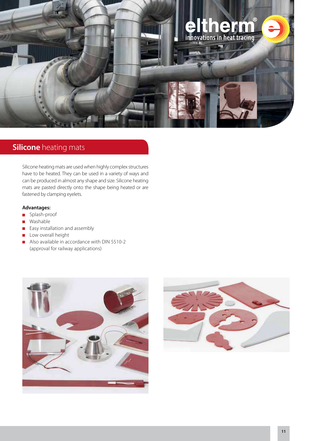

### **Silicone** heating mats

Silicone heating mats are used when highly complex structures have to be heated. They can be used in a variety of ways and can be produced in almost any shape and size. Silicone heating mats are pasted directly onto the shape being heated or are fastened by clamping eyelets.

#### **Advantages:**

- Splash-proof
- **Nashable**
- **Easy installation and assembly**
- **Low overall height**
- Also available in accordance with DIN 5510-2 (approval for railway applications)